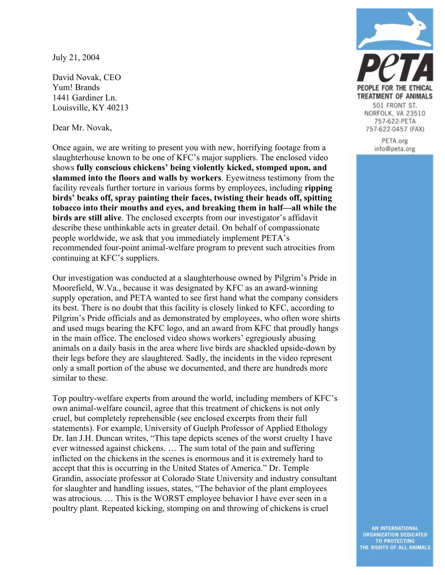July 21, 2004

David Novak, CEO Yum! Brands 1441 Gardiner Ln. Louisville, KY 40213

Dear Mr. Novak,

Once again, we are writing to present you with new, horrifying footage from a slaughterhouse known to be one of KFC's major suppliers. The enclosed video shows **fully conscious chickens' being violently kicked, stomped upon, and slammed into the floors and walls by workers**. Eyewitness testimony from the facility reveals further torture in various forms by employees, including **ripping birds' beaks off, spray painting their faces, twisting their heads off, spitting tobacco into their mouths and eyes, and breaking them in half—all while the birds are still alive**. The enclosed excerpts from our investigator's affidavit describe these unthinkable acts in greater detail. On behalf of compassionate people worldwide, we ask that you immediately implement PETA's recommended four-point animal-welfare program to prevent such atrocities from continuing at KFC's suppliers.

Our investigation was conducted at a slaughterhouse owned by Pilgrim's Pride in Moorefield, W.Va., because it was designated by KFC as an award-winning supply operation, and PETA wanted to see first hand what the company considers its best. There is no doubt that this facility is closely linked to KFC, according to Pilgrim's Pride officials and as demonstrated by employees, who often wore shirts and used mugs bearing the KFC logo, and an award from KFC that proudly hangs in the main office. The enclosed video shows workers' egregiously abusing animals on a daily basis in the area where live birds are shackled upside-down by their legs before they are slaughtered. Sadly, the incidents in the video represent only a small portion of the abuse we documented, and there are hundreds more similar to these.

Top poultry-welfare experts from around the world, including members of KFC's own animal-welfare council, agree that this treatment of chickens is not only cruel, but completely reprehensible (see enclosed excerpts from their full statements). For example, University of Guelph Professor of Applied Ethology Dr. Ian J.H. Duncan writes, "This tape depicts scenes of the worst cruelty I have ever witnessed against chickens. … The sum total of the pain and suffering inflicted on the chickens in the scenes is enormous and it is extremely hard to accept that this is occurring in the United States of America." Dr. Temple Grandin, associate professor at Colorado State University and industry consultant for slaughter and handling issues, states, "The behavior of the plant employees was atrocious. … This is the WORST employee behavior I have ever seen in a poultry plant. Repeated kicking, stomping on and throwing of chickens is cruel



PETA.org info@peta.org

AN INTERNATIONAL ORGANIZATION DEDICATED TO PROTECTING<br>THE RIGHTS OF ALL ANIMALS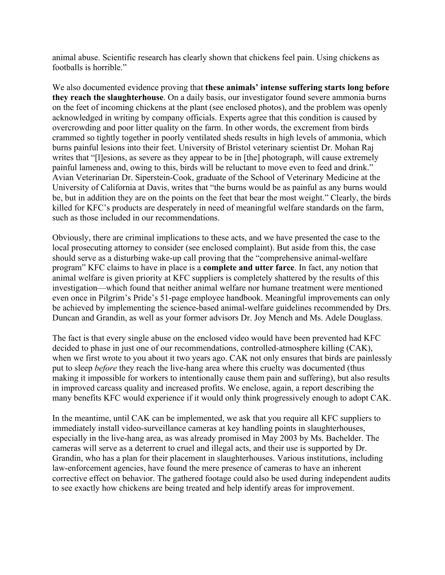animal abuse. Scientific research has clearly shown that chickens feel pain. Using chickens as footballs is horrible."

We also documented evidence proving that **these animals' intense suffering starts long before they reach the slaughterhouse**. On a daily basis, our investigator found severe ammonia burns on the feet of incoming chickens at the plant (see enclosed photos), and the problem was openly acknowledged in writing by company officials. Experts agree that this condition is caused by overcrowding and poor litter quality on the farm. In other words, the excrement from birds crammed so tightly together in poorly ventilated sheds results in high levels of ammonia, which burns painful lesions into their feet. University of Bristol veterinary scientist Dr. Mohan Raj writes that "[l]esions, as severe as they appear to be in [the] photograph, will cause extremely painful lameness and, owing to this, birds will be reluctant to move even to feed and drink." Avian Veterinarian Dr. Siperstein-Cook, graduate of the School of Veterinary Medicine at the University of California at Davis, writes that "the burns would be as painful as any burns would be, but in addition they are on the points on the feet that bear the most weight." Clearly, the birds killed for KFC's products are desperately in need of meaningful welfare standards on the farm, such as those included in our recommendations.

Obviously, there are criminal implications to these acts, and we have presented the case to the local prosecuting attorney to consider (see enclosed complaint). But aside from this, the case should serve as a disturbing wake-up call proving that the "comprehensive animal-welfare program" KFC claims to have in place is a **complete and utter farce**. In fact, any notion that animal welfare is given priority at KFC suppliers is completely shattered by the results of this investigation—which found that neither animal welfare nor humane treatment were mentioned even once in Pilgrim's Pride's 51-page employee handbook. Meaningful improvements can only be achieved by implementing the science-based animal-welfare guidelines recommended by Drs. Duncan and Grandin, as well as your former advisors Dr. Joy Mench and Ms. Adele Douglass.

The fact is that every single abuse on the enclosed video would have been prevented had KFC decided to phase in just one of our recommendations, controlled-atmosphere killing (CAK), when we first wrote to you about it two years ago. CAK not only ensures that birds are painlessly put to sleep *before* they reach the live-hang area where this cruelty was documented (thus making it impossible for workers to intentionally cause them pain and suffering), but also results in improved carcass quality and increased profits. We enclose, again, a report describing the many benefits KFC would experience if it would only think progressively enough to adopt CAK.

In the meantime, until CAK can be implemented, we ask that you require all KFC suppliers to immediately install video-surveillance cameras at key handling points in slaughterhouses, especially in the live-hang area, as was already promised in May 2003 by Ms. Bachelder. The cameras will serve as a deterrent to cruel and illegal acts, and their use is supported by Dr. Grandin, who has a plan for their placement in slaughterhouses. Various institutions, including law-enforcement agencies, have found the mere presence of cameras to have an inherent corrective effect on behavior. The gathered footage could also be used during independent audits to see exactly how chickens are being treated and help identify areas for improvement.